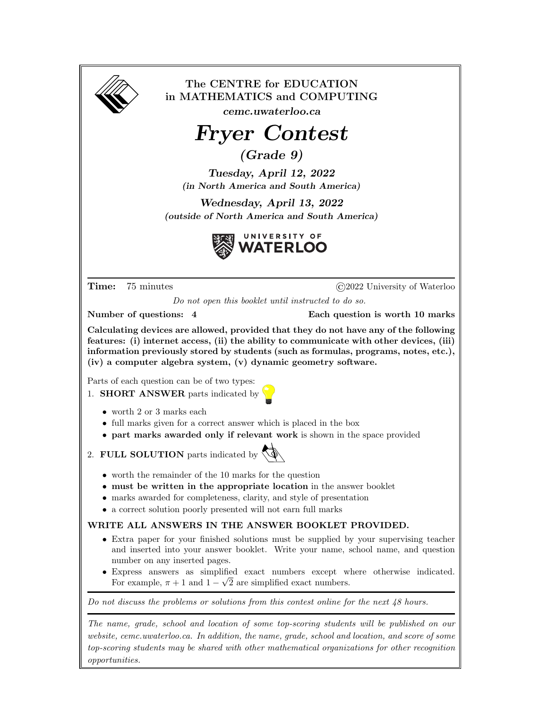| The CENTRE for EDUCATION<br>in MATHEMATICS and COMPUTING<br>cemc.uwaterloo.ca                                                                                                                                                                                                                                                              |                                                                                                                                                                                                                                                                |
|--------------------------------------------------------------------------------------------------------------------------------------------------------------------------------------------------------------------------------------------------------------------------------------------------------------------------------------------|----------------------------------------------------------------------------------------------------------------------------------------------------------------------------------------------------------------------------------------------------------------|
|                                                                                                                                                                                                                                                                                                                                            |                                                                                                                                                                                                                                                                |
| <b>Fryer Contest</b>                                                                                                                                                                                                                                                                                                                       |                                                                                                                                                                                                                                                                |
| (Grade 9)                                                                                                                                                                                                                                                                                                                                  |                                                                                                                                                                                                                                                                |
| Tuesday, April 12, 2022<br>(in North America and South America)                                                                                                                                                                                                                                                                            |                                                                                                                                                                                                                                                                |
| Wednesday, April 13, 2022                                                                                                                                                                                                                                                                                                                  |                                                                                                                                                                                                                                                                |
| (outside of North America and South America)                                                                                                                                                                                                                                                                                               |                                                                                                                                                                                                                                                                |
|                                                                                                                                                                                                                                                                                                                                            | UNIVERSITY OF<br><b>VATERLOO</b>                                                                                                                                                                                                                               |
| Time:<br>75 minutes                                                                                                                                                                                                                                                                                                                        | $\odot$ 2022 University of Waterloo                                                                                                                                                                                                                            |
| Do not open this booklet until instructed to do so.                                                                                                                                                                                                                                                                                        |                                                                                                                                                                                                                                                                |
| Number of questions: 4                                                                                                                                                                                                                                                                                                                     | Each question is worth 10 marks                                                                                                                                                                                                                                |
| Calculating devices are allowed, provided that they do not have any of the following<br>features: (i) internet access, (ii) the ability to communicate with other devices, (iii)<br>information previously stored by students (such as formulas, programs, notes, etc.),<br>(iv) a computer algebra system, (v) dynamic geometry software. |                                                                                                                                                                                                                                                                |
| Parts of each question can be of two types:<br>1. SHORT ANSWER parts indicated by                                                                                                                                                                                                                                                          |                                                                                                                                                                                                                                                                |
| $\bullet$ worth 2 or 3 marks each<br>• full marks given for a correct answer which is placed in the box<br>• part marks awarded only if relevant work is shown in the space provided                                                                                                                                                       |                                                                                                                                                                                                                                                                |
| 2. FULL SOLUTION parts indicated by                                                                                                                                                                                                                                                                                                        |                                                                                                                                                                                                                                                                |
| $\bullet$ worth the remainder of the 10 marks for the question<br>• must be written in the appropriate location in the answer booklet<br>• marks awarded for completeness, clarity, and style of presentation<br>• a correct solution poorly presented will not earn full marks                                                            |                                                                                                                                                                                                                                                                |
| WRITE ALL ANSWERS IN THE ANSWER BOOKLET PROVIDED.                                                                                                                                                                                                                                                                                          |                                                                                                                                                                                                                                                                |
| number on any inserted pages.<br>For example, $\pi + 1$ and $1 - \sqrt{2}$ are simplified exact numbers.                                                                                                                                                                                                                                   | • Extra paper for your finished solutions must be supplied by your supervising teacher<br>and inserted into your answer booklet. Write your name, school name, and question<br>• Express answers as simplified exact numbers except where otherwise indicated. |
|                                                                                                                                                                                                                                                                                                                                            |                                                                                                                                                                                                                                                                |
| Do not discuss the problems or solutions from this contest online for the next $48$ hours.                                                                                                                                                                                                                                                 |                                                                                                                                                                                                                                                                |
| The name, grade, school and location of some top-scoring students will be published on our<br>website, cemc.uwaterloo.ca. In addition, the name, grade, school and location, and score of some<br>top-scoring students may be shared with other mathematical organizations for other recognition<br>opportunities.                         |                                                                                                                                                                                                                                                                |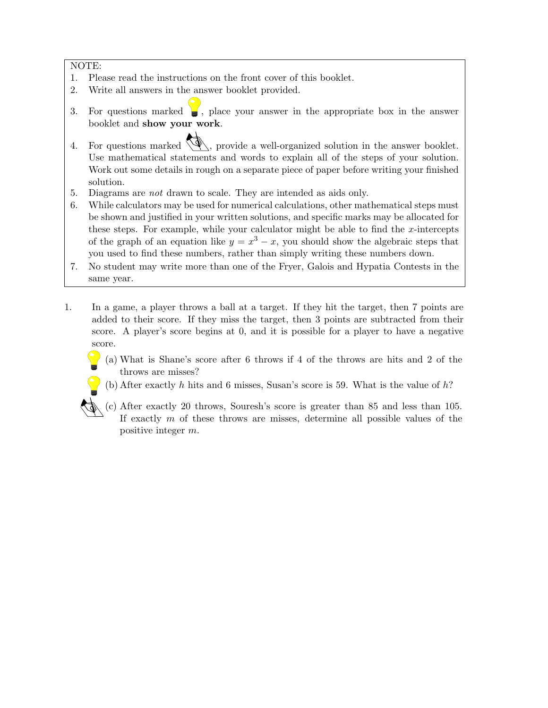NOTE:

- 1. Please read the instructions on the front cover of this booklet.
- 2. Write all answers in the answer booklet provided.
- 3. For questions marked  $\Box$ , place your answer in the appropriate box in the answer booklet and show your work.
- 4. For questions marked  $\langle \mathcal{L} \rangle$ , provide a well-organized solution in the answer booklet. Use mathematical statements and words to explain all of the steps of your solution. Work out some details in rough on a separate piece of paper before writing your finished solution.
- 5. Diagrams are not drawn to scale. They are intended as aids only.
- 6. While calculators may be used for numerical calculations, other mathematical steps must be shown and justified in your written solutions, and specific marks may be allocated for these steps. For example, while your calculator might be able to find the  $x$ -intercepts of the graph of an equation like  $y = x^3 - x$ , you should show the algebraic steps that you used to find these numbers, rather than simply writing these numbers down.
- 7. No student may write more than one of the Fryer, Galois and Hypatia Contests in the same year.
- 1. In a game, a player throws a ball at a target. If they hit the target, then 7 points are added to their score. If they miss the target, then 3 points are subtracted from their score. A player's score begins at 0, and it is possible for a player to have a negative score.
	- (a) What is Shane's score after 6 throws if 4 of the throws are hits and 2 of the throws are misses?
	- (b) After exactly h hits and 6 misses, Susan's score is 59. What is the value of  $h$ ?
	- (c) After exactly 20 throws, Souresh's score is greater than 85 and less than 105. If exactly  $m$  of these throws are misses, determine all possible values of the positive integer m.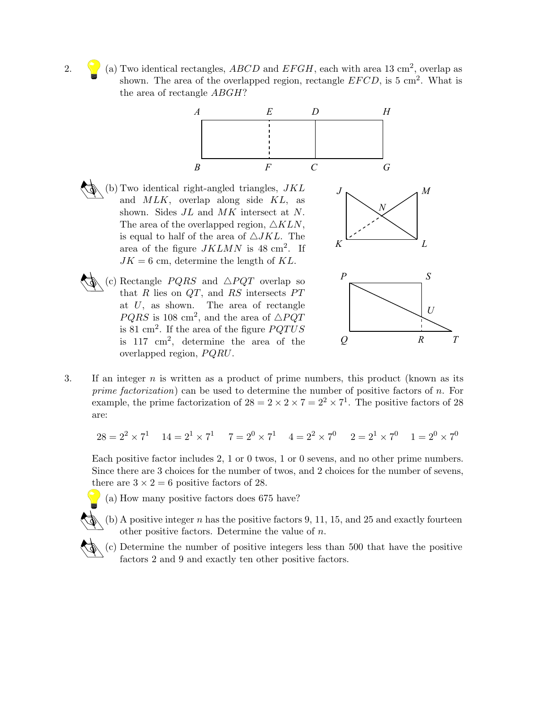2. (a) Two identical rectangles, ABCD and EFGH, each with area 13 cm<sup>2</sup>, overlap as shown. The area of the overlapped region, rectangle  $EFCD$ , is 5 cm<sup>2</sup>. What is the area of rectangle ABGH?



*Q R*

*T*

3. If an integer  $n$  is written as a product of prime numbers, this product (known as its prime factorization) can be used to determine the number of positive factors of n. For example, the prime factorization of  $28 = 2 \times 2 \times 7 = 2^2 \times 7^1$ . The positive factors of 28 are:

$$
28 = 2^2 \times 7^1 \quad 14 = 2^1 \times 7^1 \quad 7 = 2^0 \times 7^1 \quad 4 = 2^2 \times 7^0 \quad 2 = 2^1 \times 7^0 \quad 1 = 2^0 \times 7^0
$$

Each positive factor includes 2, 1 or 0 twos, 1 or 0 sevens, and no other prime numbers. Since there are 3 choices for the number of twos, and 2 choices for the number of sevens, there are  $3 \times 2 = 6$  positive factors of 28.

(a) How many positive factors does 675 have?

is 117 cm<sup>2</sup> , determine the area of the

overlapped region,  $PQRU$ .

- $\wedge$  (b) A positive integer n has the positive factors 9, 11, 15, and 25 and exactly fourteen other positive factors. Determine the value of  $n$ .
	- (c) Determine the number of positive integers less than 500 that have the positive factors 2 and 9 and exactly ten other positive factors.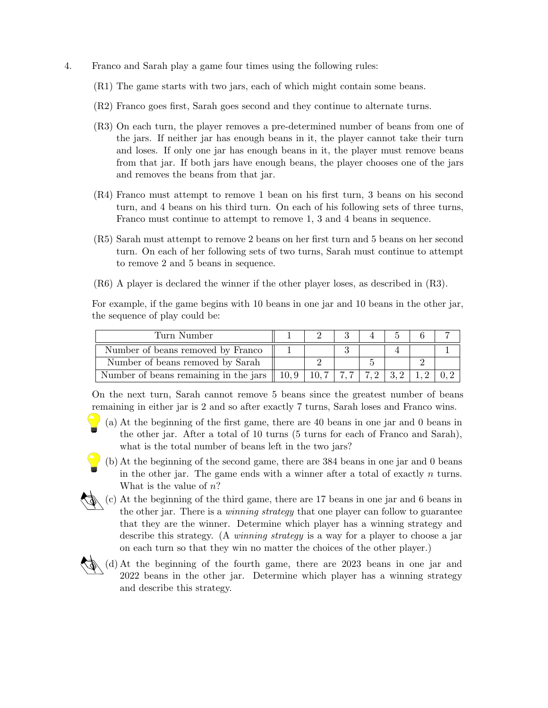- 4. Franco and Sarah play a game four times using the following rules:
	- (R1) The game starts with two jars, each of which might contain some beans.
	- (R2) Franco goes first, Sarah goes second and they continue to alternate turns.
	- (R3) On each turn, the player removes a pre-determined number of beans from one of the jars. If neither jar has enough beans in it, the player cannot take their turn and loses. If only one jar has enough beans in it, the player must remove beans from that jar. If both jars have enough beans, the player chooses one of the jars and removes the beans from that jar.
	- (R4) Franco must attempt to remove 1 bean on his first turn, 3 beans on his second turn, and 4 beans on his third turn. On each of his following sets of three turns, Franco must continue to attempt to remove 1, 3 and 4 beans in sequence.
	- (R5) Sarah must attempt to remove 2 beans on her first turn and 5 beans on her second turn. On each of her following sets of two turns, Sarah must continue to attempt to remove 2 and 5 beans in sequence.
	- (R6) A player is declared the winner if the other player loses, as described in (R3).

For example, if the game begins with 10 beans in one jar and 10 beans in the other jar, the sequence of play could be:

| Turn Number                           |               |       |                          |  |  |
|---------------------------------------|---------------|-------|--------------------------|--|--|
| Number of beans removed by Franco     |               |       |                          |  |  |
| Number of beans removed by Sarah      |               |       |                          |  |  |
| Number of beans remaining in the jars | $\  10, 9 \ $ | 10, 7 | $\mid 7.2 \mid 3.2 \mid$ |  |  |

On the next turn, Sarah cannot remove 5 beans since the greatest number of beans remaining in either jar is 2 and so after exactly 7 turns, Sarah loses and Franco wins.

- (a) At the beginning of the first game, there are 40 beans in one jar and 0 beans in the other jar. After a total of 10 turns (5 turns for each of Franco and Sarah), what is the total number of beans left in the two jars?
- (b) At the beginning of the second game, there are 384 beans in one jar and 0 beans in the other jar. The game ends with a winner after a total of exactly  $n$  turns. What is the value of  $n$ ?
- (c) At the beginning of the third game, there are 17 beans in one jar and 6 beans in the other jar. There is a winning strategy that one player can follow to guarantee that they are the winner. Determine which player has a winning strategy and describe this strategy. (A *winning strategy* is a way for a player to choose a jar on each turn so that they win no matter the choices of the other player.)
- (d) At the beginning of the fourth game, there are 2023 beans in one jar and 2022 beans in the other jar. Determine which player has a winning strategy and describe this strategy.